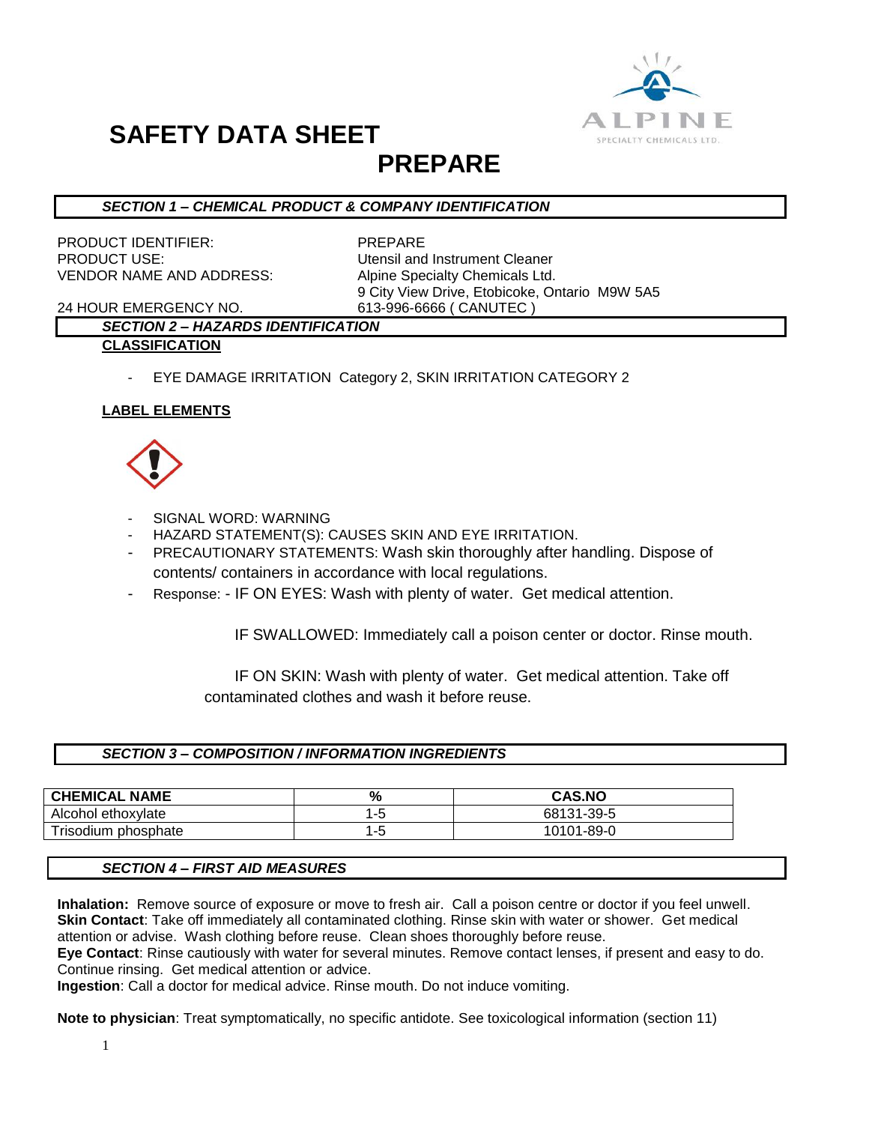

## **SAFETY DATA SHEET**

### **PREPARE**

#### *SECTION 1 – CHEMICAL PRODUCT & COMPANY IDENTIFICATION*

PRODUCT IDENTIFIER: PREPARE **PRODUCT USE:** The Contract of the Utensil and Instrument Cleaner VENDOR NAME AND ADDRESS: Alpine Specialty Chemicals Ltd.

9 City View Drive, Etobicoke, Ontario M9W 5A5

24 HOUR EMERGENCY NO. 613-996-6666 ( CANUTEC )

### *SECTION 2 – HAZARDS IDENTIFICATION*

- **CLASSIFICATION**
	- EYE DAMAGE IRRITATION Category 2, SKIN IRRITATION CATEGORY 2

#### **LABEL ELEMENTS**



- SIGNAL WORD: WARNING
- HAZARD STATEMENT(S): CAUSES SKIN AND EYE IRRITATION.
- PRECAUTIONARY STATEMENTS: Wash skin thoroughly after handling. Dispose of contents/ containers in accordance with local regulations.
- Response: IF ON EYES: Wash with plenty of water. Get medical attention.

IF SWALLOWED: Immediately call a poison center or doctor. Rinse mouth.

 IF ON SKIN: Wash with plenty of water. Get medical attention. Take off contaminated clothes and wash it before reuse.

#### *SECTION 3 – COMPOSITION / INFORMATION INGREDIENTS*

| <b>CHEMICAL NAME</b> | %   | <b>CAS.NO</b> |
|----------------------|-----|---------------|
| Alcohol ethoxylate   |     | 68131-39-5    |
| Trisodium phosphate  | "-ს | 10101-89-0    |

#### *SECTION 4 – FIRST AID MEASURES*

**Inhalation:** Remove source of exposure or move to fresh air. Call a poison centre or doctor if you feel unwell. **Skin Contact**: Take off immediately all contaminated clothing. Rinse skin with water or shower. Get medical attention or advise. Wash clothing before reuse. Clean shoes thoroughly before reuse.

**Eye Contact**: Rinse cautiously with water for several minutes. Remove contact lenses, if present and easy to do. Continue rinsing. Get medical attention or advice.

**Ingestion**: Call a doctor for medical advice. Rinse mouth. Do not induce vomiting.

**Note to physician**: Treat symptomatically, no specific antidote. See toxicological information (section 11)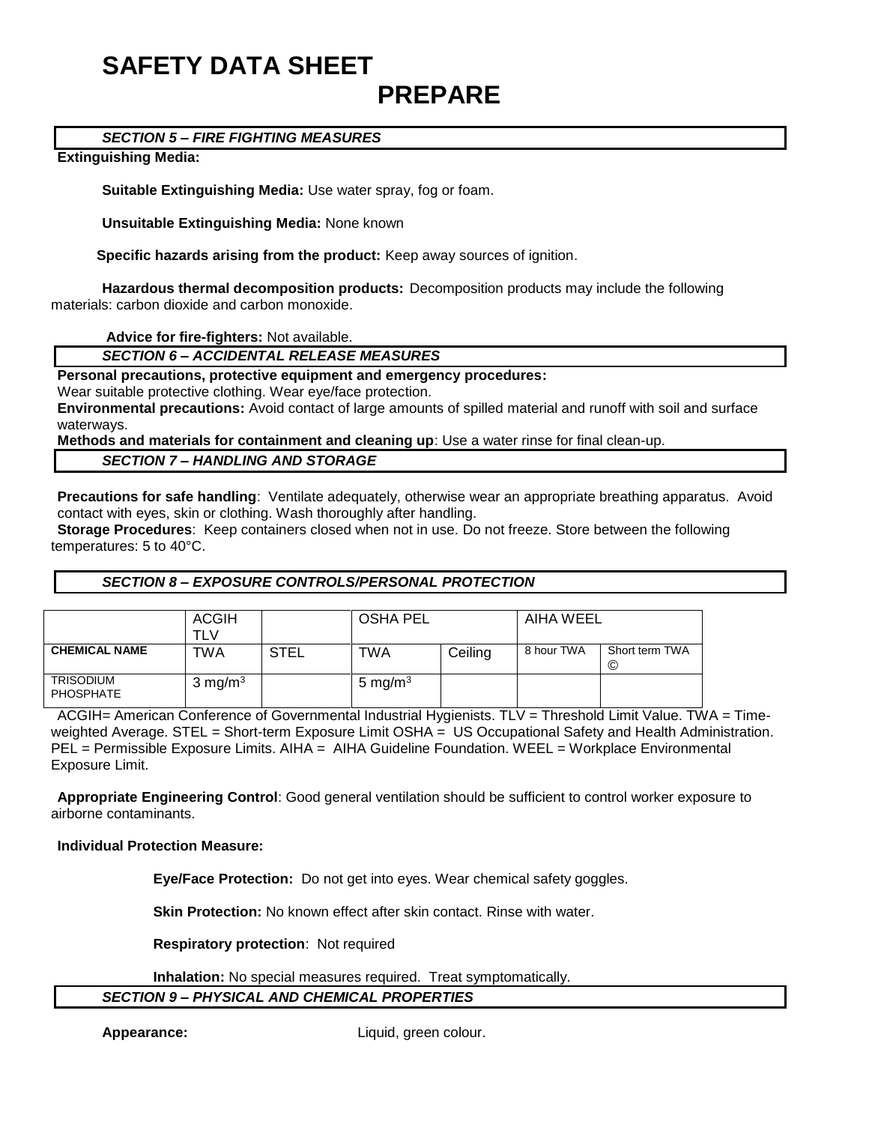## **SAFETY DATA SHEET PREPARE**

#### *SECTION 5 – FIRE FIGHTING MEASURES*

#### **Extinguishing Media:**

**Suitable Extinguishing Media:** Use water spray, fog or foam.

**Unsuitable Extinguishing Media:** None known

 **Specific hazards arising from the product:** Keep away sources of ignition.

**Hazardous thermal decomposition products:** Decomposition products may include the following materials: carbon dioxide and carbon monoxide.

**Advice for fire-fighters:** Not available.

*SECTION 6 – ACCIDENTAL RELEASE MEASURES*

**Personal precautions, protective equipment and emergency procedures:**

Wear suitable protective clothing. Wear eye/face protection.

**Environmental precautions:** Avoid contact of large amounts of spilled material and runoff with soil and surface waterways.

**Methods and materials for containment and cleaning up**: Use a water rinse for final clean-up.

#### *SECTION 7 – HANDLING AND STORAGE*

**Precautions for safe handling**: Ventilate adequately, otherwise wear an appropriate breathing apparatus. Avoid contact with eyes, skin or clothing. Wash thoroughly after handling.

**Storage Procedures**: Keep containers closed when not in use. Do not freeze. Store between the following temperatures: 5 to 40°C.

#### *SECTION 8 – EXPOSURE CONTROLS/PERSONAL PROTECTION*

|                                      | <b>ACGIH</b><br>TLV |             | <b>OSHA PEL</b> |         | AIHA WEEL  |                     |
|--------------------------------------|---------------------|-------------|-----------------|---------|------------|---------------------|
| <b>CHEMICAL NAME</b>                 | TWA                 | <b>STEL</b> | TWA             | Ceiling | 8 hour TWA | Short term TWA<br>C |
| <b>TRISODIUM</b><br><b>PHOSPHATE</b> | $3 \text{ mg/m}^3$  |             | 5 mg/m $3$      |         |            |                     |

ACGIH= American Conference of Governmental Industrial Hygienists. TLV = Threshold Limit Value. TWA = Timeweighted Average. STEL = Short-term Exposure Limit OSHA = US Occupational Safety and Health Administration. PEL = Permissible Exposure Limits. AIHA = AIHA Guideline Foundation. WEEL = Workplace Environmental Exposure Limit.

**Appropriate Engineering Control**: Good general ventilation should be sufficient to control worker exposure to airborne contaminants.

#### **Individual Protection Measure:**

**Eye/Face Protection:** Do not get into eyes. Wear chemical safety goggles.

**Skin Protection:** No known effect after skin contact. Rinse with water.

**Respiratory protection**: Not required

**Inhalation:** No special measures required. Treat symptomatically.

#### *SECTION 9 – PHYSICAL AND CHEMICAL PROPERTIES*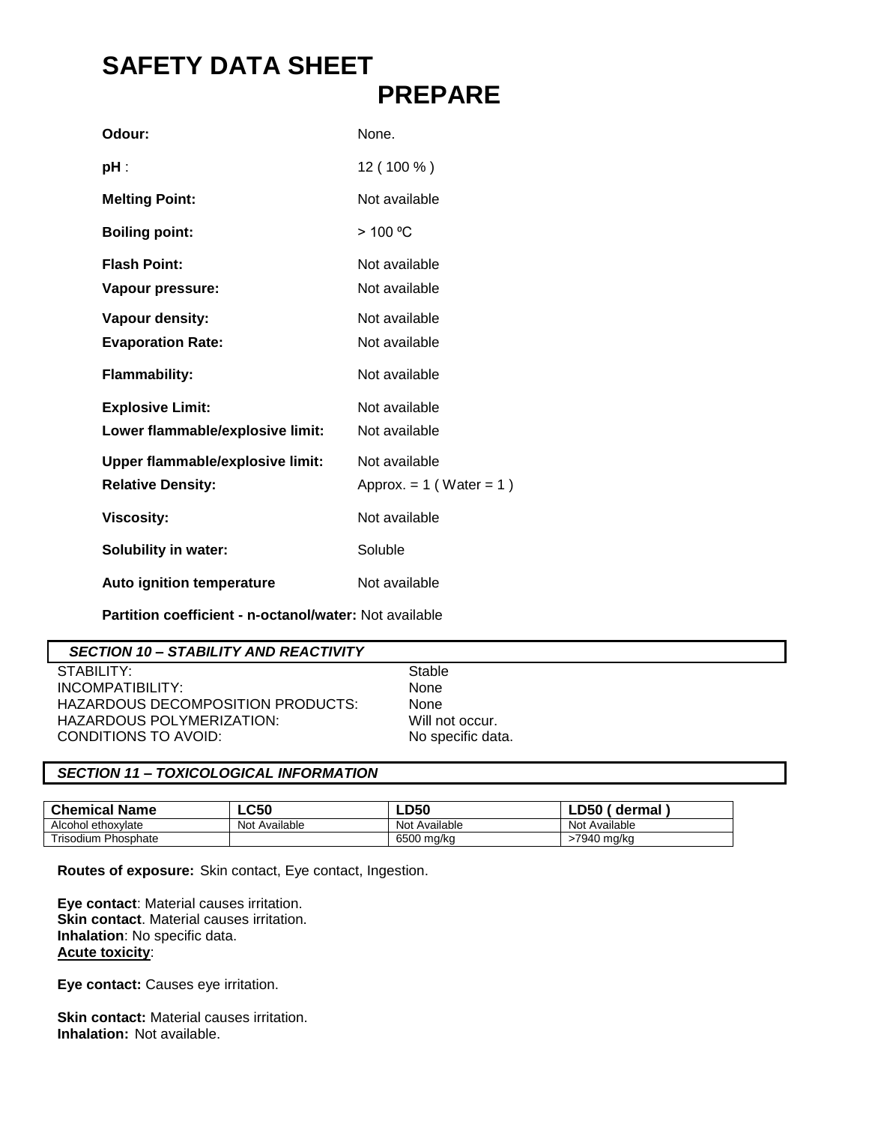## **SAFETY DATA SHEET PREPARE**

| Odour:                                                              | None.                                         |
|---------------------------------------------------------------------|-----------------------------------------------|
| pH :                                                                | 12 (100 %)                                    |
| <b>Melting Point:</b>                                               | Not available                                 |
| <b>Boiling point:</b>                                               | > 100 °C                                      |
| <b>Flash Point:</b><br>Vapour pressure:                             | Not available<br>Not available                |
| Vapour density:<br><b>Evaporation Rate:</b>                         | Not available<br>Not available                |
| <b>Flammability:</b>                                                | Not available                                 |
| <b>Explosive Limit:</b><br>Lower flammable/explosive limit:         | Not available<br>Not available                |
| <b>Upper flammable/explosive limit:</b><br><b>Relative Density:</b> | Not available<br>Approx. = $1$ (Water = $1$ ) |
| <b>Viscosity:</b>                                                   | Not available                                 |
| <b>Solubility in water:</b>                                         | Soluble                                       |
| <b>Auto ignition temperature</b>                                    | Not available                                 |

**Partition coefficient - n-octanol/water:** Not available

#### *SECTION 10 – STABILITY AND REACTIVITY*

STABILITY: Stable<br>
INCOMPATIBILITY: None INCOMPATIBILITY: HAZARDOUS DECOMPOSITION PRODUCTS: None HAZARDOUS POLYMERIZATION: Will not occur.<br>CONDITIONS TO AVOID: No specific data. CONDITIONS TO AVOID:

#### *SECTION 11 – TOXICOLOGICAL INFORMATION*

| <b>Chemical Name</b>       | <b>LC50</b>   | <b>LD50</b>   | LD50_<br>dermal |
|----------------------------|---------------|---------------|-----------------|
| Alcohol ethoxylate         | Not Available | Not Available | Not Available   |
| <b>Trisodium Phosphate</b> |               | 6500 ma/ka    | ·7940 ma/ka     |

**Routes of exposure:** Skin contact, Eye contact, Ingestion.

**Eye contact**: Material causes irritation. **Skin contact**. Material causes irritation. **Inhalation**: No specific data. **Acute toxicity**:

**Eye contact:** Causes eye irritation.

**Skin contact:** Material causes irritation. **Inhalation:** Not available.